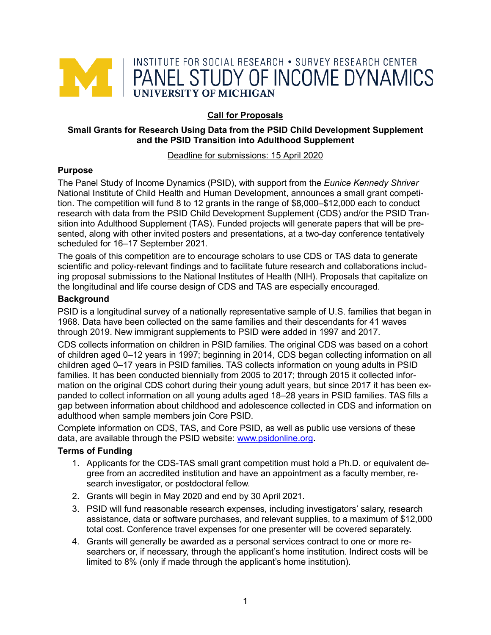

# **Call for Proposals**

#### **Small Grants for Research Using Data from the PSID Child Development Supplement and the PSID Transition into Adulthood Supplement**

#### Deadline for submissions: 15 April 2020

#### **Purpose**

The Panel Study of Income Dynamics (PSID), with support from the *Eunice Kennedy Shriver* National Institute of Child Health and Human Development, announces a small grant competition. The competition will fund 8 to 12 grants in the range of \$8,000–\$12,000 each to conduct research with data from the PSID Child Development Supplement (CDS) and/or the PSID Transition into Adulthood Supplement (TAS). Funded projects will generate papers that will be presented, along with other invited posters and presentations, at a two-day conference tentatively scheduled for 16–17 September 2021.

The goals of this competition are to encourage scholars to use CDS or TAS data to generate scientific and policy-relevant findings and to facilitate future research and collaborations including proposal submissions to the National Institutes of Health (NIH). Proposals that capitalize on the longitudinal and life course design of CDS and TAS are especially encouraged.

#### **Background**

PSID is a longitudinal survey of a nationally representative sample of U.S. families that began in 1968. Data have been collected on the same families and their descendants for 41 waves through 2019. New immigrant supplements to PSID were added in 1997 and 2017.

CDS collects information on children in PSID families. The original CDS was based on a cohort of children aged 0–12 years in 1997; beginning in 2014, CDS began collecting information on all children aged 0–17 years in PSID families. TAS collects information on young adults in PSID families. It has been conducted biennially from 2005 to 2017; through 2015 it collected information on the original CDS cohort during their young adult years, but since 2017 it has been expanded to collect information on all young adults aged 18–28 years in PSID families. TAS fills a gap between information about childhood and adolescence collected in CDS and information on adulthood when sample members join Core PSID.

Complete information on CDS, TAS, and Core PSID, as well as public use versions of these data, are available through the PSID website: [www.psidonline.org.](http://www.psidonline.org/)

#### **Terms of Funding**

- 1. Applicants for the CDS-TAS small grant competition must hold a Ph.D. or equivalent degree from an accredited institution and have an appointment as a faculty member, research investigator, or postdoctoral fellow.
- 2. Grants will begin in May 2020 and end by 30 April 2021.
- 3. PSID will fund reasonable research expenses, including investigators' salary, research assistance, data or software purchases, and relevant supplies, to a maximum of \$12,000 total cost. Conference travel expenses for one presenter will be covered separately.
- 4. Grants will generally be awarded as a personal services contract to one or more researchers or, if necessary, through the applicant's home institution. Indirect costs will be limited to 8% (only if made through the applicant's home institution).